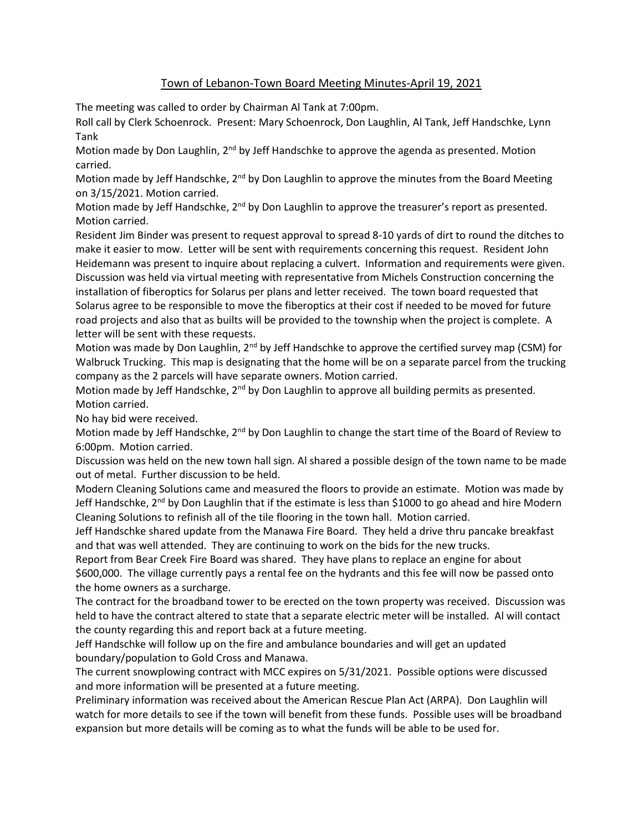## Town of Lebanon-Town Board Meeting Minutes-April 19, 2021

The meeting was called to order by Chairman Al Tank at 7:00pm.

Roll call by Clerk Schoenrock. Present: Mary Schoenrock, Don Laughlin, Al Tank, Jeff Handschke, Lynn Tank

Motion made by Don Laughlin, 2<sup>nd</sup> by Jeff Handschke to approve the agenda as presented. Motion carried.

Motion made by Jeff Handschke, 2<sup>nd</sup> by Don Laughlin to approve the minutes from the Board Meeting on 3/15/2021. Motion carried.

Motion made by Jeff Handschke, 2<sup>nd</sup> by Don Laughlin to approve the treasurer's report as presented. Motion carried.

Resident Jim Binder was present to request approval to spread 8-10 yards of dirt to round the ditches to make it easier to mow. Letter will be sent with requirements concerning this request. Resident John Heidemann was present to inquire about replacing a culvert. Information and requirements were given. Discussion was held via virtual meeting with representative from Michels Construction concerning the installation of fiberoptics for Solarus per plans and letter received. The town board requested that Solarus agree to be responsible to move the fiberoptics at their cost if needed to be moved for future road projects and also that as builts will be provided to the township when the project is complete. A letter will be sent with these requests.

Motion was made by Don Laughlin,  $2^{nd}$  by Jeff Handschke to approve the certified survey map (CSM) for Walbruck Trucking. This map is designating that the home will be on a separate parcel from the trucking company as the 2 parcels will have separate owners. Motion carried.

Motion made by Jeff Handschke,  $2<sup>nd</sup>$  by Don Laughlin to approve all building permits as presented. Motion carried.

No hay bid were received.

Motion made by Jeff Handschke, 2<sup>nd</sup> by Don Laughlin to change the start time of the Board of Review to 6:00pm. Motion carried.

Discussion was held on the new town hall sign. Al shared a possible design of the town name to be made out of metal. Further discussion to be held.

Modern Cleaning Solutions came and measured the floors to provide an estimate. Motion was made by Jeff Handschke,  $2^{nd}$  by Don Laughlin that if the estimate is less than \$1000 to go ahead and hire Modern Cleaning Solutions to refinish all of the tile flooring in the town hall. Motion carried.

Jeff Handschke shared update from the Manawa Fire Board. They held a drive thru pancake breakfast and that was well attended. They are continuing to work on the bids for the new trucks.

Report from Bear Creek Fire Board was shared. They have plans to replace an engine for about \$600,000. The village currently pays a rental fee on the hydrants and this fee will now be passed onto the home owners as a surcharge.

The contract for the broadband tower to be erected on the town property was received. Discussion was held to have the contract altered to state that a separate electric meter will be installed. Al will contact the county regarding this and report back at a future meeting.

Jeff Handschke will follow up on the fire and ambulance boundaries and will get an updated boundary/population to Gold Cross and Manawa.

The current snowplowing contract with MCC expires on 5/31/2021. Possible options were discussed and more information will be presented at a future meeting.

Preliminary information was received about the American Rescue Plan Act (ARPA). Don Laughlin will watch for more details to see if the town will benefit from these funds. Possible uses will be broadband expansion but more details will be coming as to what the funds will be able to be used for.